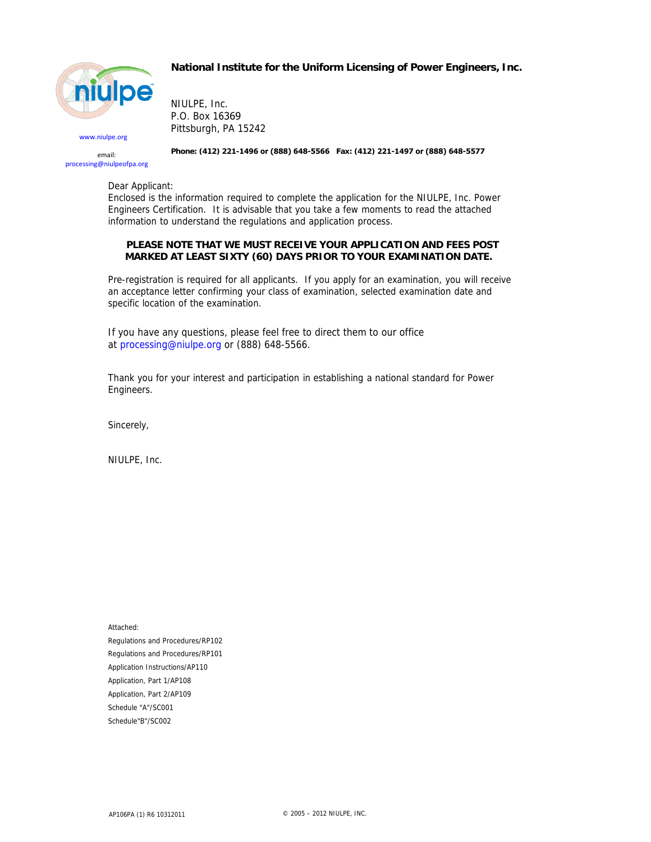

www.niulpe.org email: processing@niulpeofpa.org **National Institute for the Uniform Licensing of Power Engineers, Inc.** 

NIULPE, Inc. P.O. Box 16369 Pittsburgh, PA 15242

**Phone: (412) 221-1496 or (888) 648-5566 Fax: (412) 221-1497 or (888) 648-5577**

Dear Applicant:

Enclosed is the information required to complete the application for the NIULPE, Inc. Power Engineers Certification. It is advisable that you take a few moments to read the attached information to understand the regulations and application process.

#### **PLEASE NOTE THAT WE MUST RECEIVE YOUR APPLICATION AND FEES POST MARKED AT LEAST SIXTY (60) DAYS PRIOR TO YOUR EXAMINATION DATE.**

Pre-registration is required for all applicants. If you apply for an examination, you will receive an acceptance letter confirming your class of examination, selected examination date and specific location of the examination.

If you have any questions, please feel free to direct them to our office at processing@niulpe.org or (888) 648-5566.

Thank you for your interest and participation in establishing a national standard for Power Engineers.

Sincerely,

NIULPE, Inc.

Attached: Regulations and Procedures/RP102 Regulations and Procedures/RP101 Application Instructions/AP110 Application, Part 1/AP108 Application, Part 2/AP109 Schedule "A"/SC001 Schedule"B"/SC002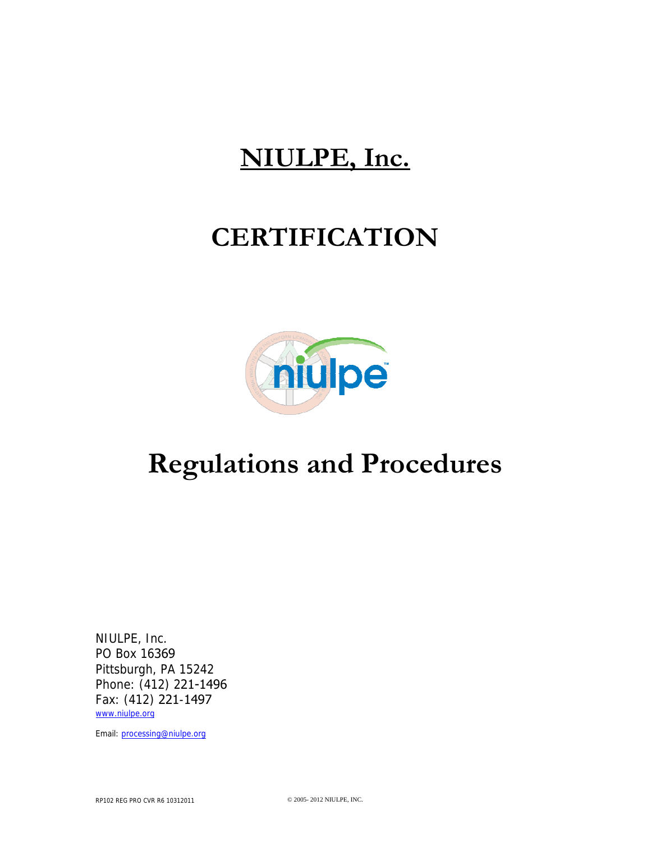# **NIULPE, Inc.**

# **CERTIFICATION**



# **Regulations and Procedures**

NIULPE, Inc. PO Box 16369 Pittsburgh, PA 15242 Phone: (412) 221-1496 Fax: (412) 221-1497 www.niulpe.org

Email: processing@niulpe.org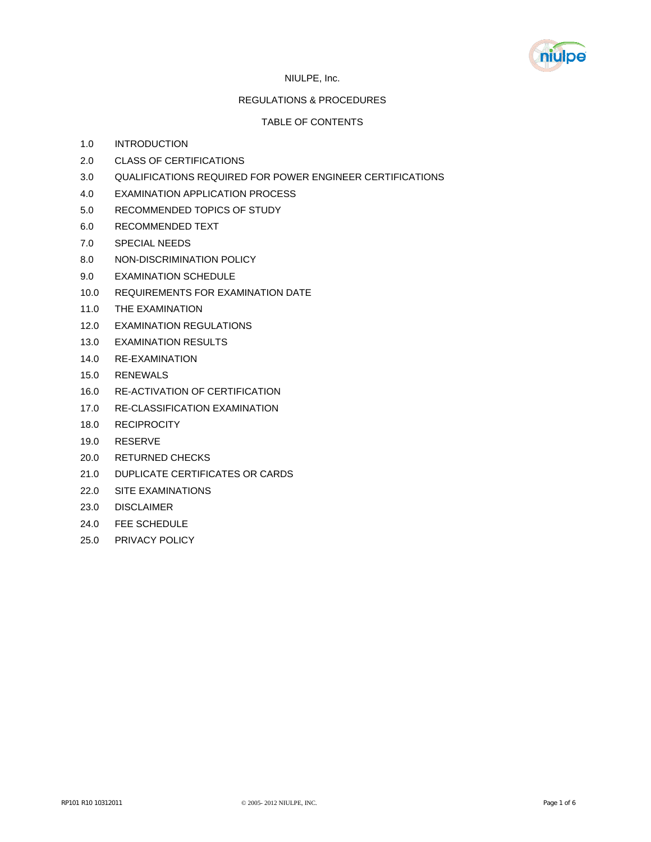

#### NIULPE, Inc.

#### REGULATIONS & PROCEDURES

#### TABLE OF CONTENTS

- 1.0 INTRODUCTION
- 2.0 CLASS OF CERTIFICATIONS
- 3.0 QUALIFICATIONS REQUIRED FOR POWER ENGINEER CERTIFICATIONS
- 4.0 EXAMINATION APPLICATION PROCESS
- 5.0 RECOMMENDED TOPICS OF STUDY
- 6.0 RECOMMENDED TEXT
- 7.0 SPECIAL NEEDS
- 8.0 NON-DISCRIMINATION POLICY
- 9.0 EXAMINATION SCHEDULE
- 10.0 REQUIREMENTS FOR EXAMINATION DATE
- 11.0 THE EXAMINATION
- 12.0 EXAMINATION REGULATIONS
- 13.0 EXAMINATION RESULTS
- 14.0 RE-EXAMINATION
- 15.0 RENEWALS
- 16.0 RE-ACTIVATION OF CERTIFICATION
- 17.0 RE-CLASSIFICATION EXAMINATION
- 18.0 RECIPROCITY
- 19.0 RESERVE
- 20.0 RETURNED CHECKS
- 21.0 DUPLICATE CERTIFICATES OR CARDS
- 22.0 SITE EXAMINATIONS
- 23.0 DISCLAIMER
- 24.0 FEE SCHEDULE
- 25.0 PRIVACY POLICY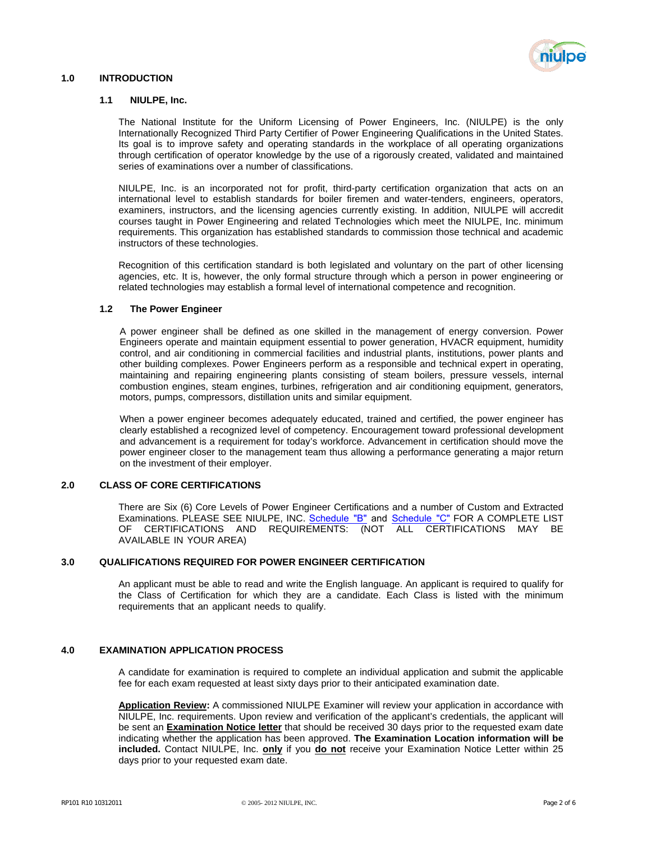

#### **1.0 INTRODUCTION**

#### **1.1 NIULPE, Inc.**

The National Institute for the Uniform Licensing of Power Engineers, Inc. (NIULPE) is the only Internationally Recognized Third Party Certifier of Power Engineering Qualifications in the United States. Its goal is to improve safety and operating standards in the workplace of all operating organizations through certification of operator knowledge by the use of a rigorously created, validated and maintained series of examinations over a number of classifications.

NIULPE, Inc. is an incorporated not for profit, third-party certification organization that acts on an international level to establish standards for boiler firemen and water-tenders, engineers, operators, examiners, instructors, and the licensing agencies currently existing. In addition, NIULPE will accredit courses taught in Power Engineering and related Technologies which meet the NIULPE, Inc. minimum requirements. This organization has established standards to commission those technical and academic instructors of these technologies.

Recognition of this certification standard is both legislated and voluntary on the part of other licensing agencies, etc. It is, however, the only formal structure through which a person in power engineering or related technologies may establish a formal level of international competence and recognition.

#### **1.2 The Power Engineer**

A power engineer shall be defined as one skilled in the management of energy conversion. Power Engineers operate and maintain equipment essential to power generation, HVACR equipment, humidity control, and air conditioning in commercial facilities and industrial plants, institutions, power plants and other building complexes. Power Engineers perform as a responsible and technical expert in operating, maintaining and repairing engineering plants consisting of steam boilers, pressure vessels, internal combustion engines, steam engines, turbines, refrigeration and air conditioning equipment, generators, motors, pumps, compressors, distillation units and similar equipment.

When a power engineer becomes adequately educated, trained and certified, the power engineer has clearly established a recognized level of competency. Encouragement toward professional development and advancement is a requirement for today's workforce. Advancement in certification should move the power engineer closer to the management team thus allowing a performance generating a major return on the investment of their employer.

#### **2.0 CLASS OF CORE CERTIFICATIONS**

There are Six (6) Core Levels of Power Engineer Certifications and a number of Custom and Extracted Examinations. PLEASE SEE NIULPE, INC. [Schedule](#page-14-0) "B" and Schedule "C" FOR A COMPLETE LIST OF CERTIFICATIONS AND REQUIREMENTS: (NOT ALL CERTIFICATIONS MAY BE AVAILABLE IN YOUR AREA)

#### **3.0 QUALIFICATIONS REQUIRED FOR POWER ENGINEER CERTIFICATION**

An applicant must be able to read and write the English language. An applicant is required to qualify for the Class of Certification for which they are a candidate. Each Class is listed with the minimum requirements that an applicant needs to qualify.

#### **4.0 EXAMINATION APPLICATION PROCESS**

A candidate for examination is required to complete an individual application and submit the applicable fee for each exam requested at least sixty days prior to their anticipated examination date.

**Application Review:** A commissioned NIULPE Examiner will review your application in accordance with NIULPE, Inc. requirements. Upon review and verification of the applicant's credentials, the applicant will be sent an **Examination Notice letter** that should be received 30 days prior to the requested exam date indicating whether the application has been approved. **The Examination Location information will be included.** Contact NIULPE, Inc. **only** if you **do not** receive your Examination Notice Letter within 25 days prior to your requested exam date.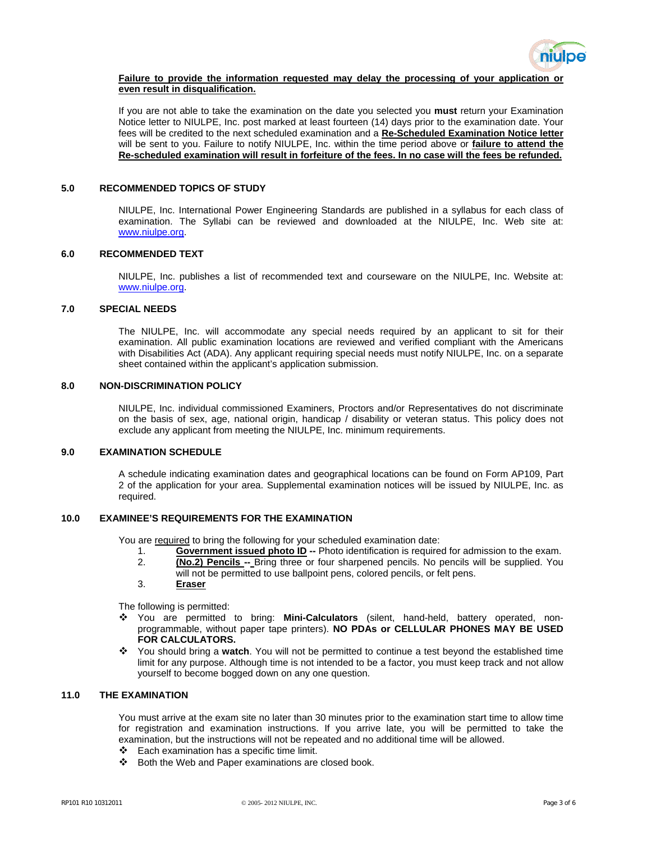

#### **Failure to provide the information requested may delay the processing of your application or even result in disqualification.**

If you are not able to take the examination on the date you selected you **must** return your Examination Notice letter to NIULPE, Inc. post marked at least fourteen (14) days prior to the examination date. Your fees will be credited to the next scheduled examination and a **Re-Scheduled Examination Notice letter** will be sent to you. Failure to notify NIULPE, Inc. within the time period above or **failure to attend the Re-scheduled examination will result in forfeiture of the fees. In no case will the fees be refunded.**

#### **5.0 RECOMMENDED TOPICS OF STUDY**

NIULPE, Inc. International Power Engineering Standards are published in a syllabus for each class of examination. The Syllabi can be reviewed and downloaded at the NIULPE, Inc. Web site at: www.niulpe.org.

#### **6.0 RECOMMENDED TEXT**

NIULPE, Inc. publishes a list of recommended text and courseware on the NIULPE, Inc. Website at: www.niulpe.org.

#### **7.0 SPECIAL NEEDS**

The NIULPE, Inc. will accommodate any special needs required by an applicant to sit for their examination. All public examination locations are reviewed and verified compliant with the Americans with Disabilities Act (ADA). Any applicant requiring special needs must notify NIULPE, Inc. on a separate sheet contained within the applicant's application submission.

#### **8.0 NON-DISCRIMINATION POLICY**

NIULPE, Inc. individual commissioned Examiners, Proctors and/or Representatives do not discriminate on the basis of sex, age, national origin, handicap / disability or veteran status. This policy does not exclude any applicant from meeting the NIULPE, Inc. minimum requirements.

#### **9.0 EXAMINATION SCHEDULE**

A schedule indicating examination dates and geographical locations can be found on Form AP109, Part 2 of the application for your area. Supplemental examination notices will be issued by NIULPE, Inc. as required.

#### **10.0 EXAMINEE'S REQUIREMENTS FOR THE EXAMINATION**

You are required to bring the following for your scheduled examination date:

- 1. **Government issued photo ID --** Photo identification is required for admission to the exam.
- 2. **(No.2) Pencils --** Bring three or four sharpened pencils. No pencils will be supplied. You will not be permitted to use ballpoint pens, colored pencils, or felt pens.
- 3. **Eraser**

The following is permitted:

- You are permitted to bring: **Mini-Calculators** (silent, hand-held, battery operated, nonprogrammable, without paper tape printers). **NO PDAs or CELLULAR PHONES MAY BE USED FOR CALCULATORS.**
- You should bring a **watch**. You will not be permitted to continue a test beyond the established time limit for any purpose. Although time is not intended to be a factor, you must keep track and not allow yourself to become bogged down on any one question.

#### **11.0 THE EXAMINATION**

You must arrive at the exam site no later than 30 minutes prior to the examination start time to allow time for registration and examination instructions. If you arrive late, you will be permitted to take the examination, but the instructions will not be repeated and no additional time will be allowed.

- $\div$  Each examination has a specific time limit.
- $\clubsuit$  Both the Web and Paper examinations are closed book.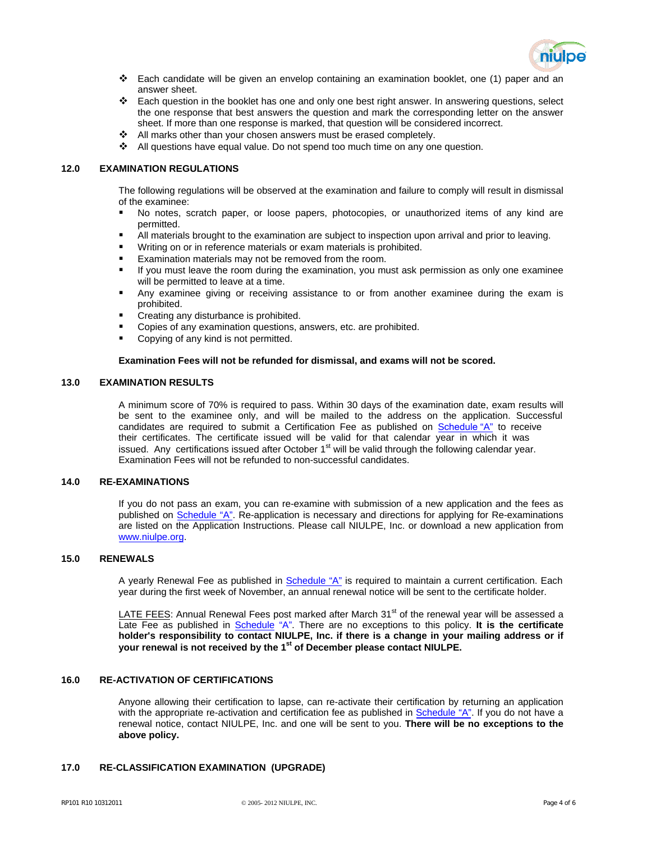

- $\div$  Each candidate will be given an envelop containing an examination booklet, one (1) paper and an answer sheet.
- Each question in the booklet has one and only one best right answer. In answering questions, select the one response that best answers the question and mark the corresponding letter on the answer sheet. If more than one response is marked, that question will be considered incorrect.
- \* All marks other than your chosen answers must be erased completely.
- \* All questions have equal value. Do not spend too much time on any one question.

#### **12.0 EXAMINATION REGULATIONS**

The following regulations will be observed at the examination and failure to comply will result in dismissal of the examinee:

- No notes, scratch paper, or loose papers, photocopies, or unauthorized items of any kind are permitted.
- All materials brought to the examination are subject to inspection upon arrival and prior to leaving.
- Writing on or in reference materials or exam materials is prohibited.
- Examination materials may not be removed from the room.
- If you must leave the room during the examination, you must ask permission as only one examinee will be permitted to leave at a time.
- Any examinee giving or receiving assistance to or from another examinee during the exam is prohibited.
- Creating any disturbance is prohibited.
- Copies of any examination questions, answers, etc. are prohibited.
- Copying of any kind is not permitted.

#### **Examination Fees will not be refunded for dismissal, and exams will not be scored.**

#### **13.0 EXAMINATION RESULTS**

A minimum score of 70% is required to pass. Within 30 days of the examination date, exam results will be sent to the examinee only, and will be mailed to the address on the application. Successful candidates are required to submit a Certification Fee as published on  $S$ [chedule](#page-12-0) "A" to receive their certificates. The certificate issued will be valid for that calendar year in which it was issued. Any certifications issued after October 1<sup>st</sup> will be valid through the following calendar year. Examination Fees will not be refunded to non-successful candidates.

#### **14.0 RE-EXAMINATIONS**

If you do not pass an exam, you can re-examine with submission of a new application and the fees as published on [Schedule "A".](#page-12-0) Re-application is necessary and directions for applying for Re-examinations are listed on the Application Instructions. Please call NIULPE, Inc. or download a new application from www.niulpe.org.

#### **15.0 RENEWALS**

A yearly Renewal Fee as published in [Schedule](#page-12-0) "A" is required to maintain a current certification. Each year during the first week of November, an annual renewal notice will be sent to the certificate holder.

LATE FEES: Annual Renewal Fees post marked after March 31<sup>st</sup> of the renewal year will be assessed a Late Fee as published in [Schedule "A".](#page-12-0) There are no exceptions to this policy. **It is the certificate holder's responsibility to contact NIULPE, Inc. if there is a change in your mailing address or if your renewal is not received by the 1st of December please contact NIULPE.** 

#### **16.0 RE-ACTIVATION OF CERTIFICATIONS**

Anyone allowing their certification to lapse, can re-activate their certification by returning an application with the appropriate re-activation and certification fee as published in [Schedule "A".](#page-12-0) If you do not have a renewal notice, contact NIULPE, Inc. and one will be sent to you. **There will be no exceptions to the above policy.**

#### **17.0 RE-CLASSIFICATION EXAMINATION (UPGRADE)**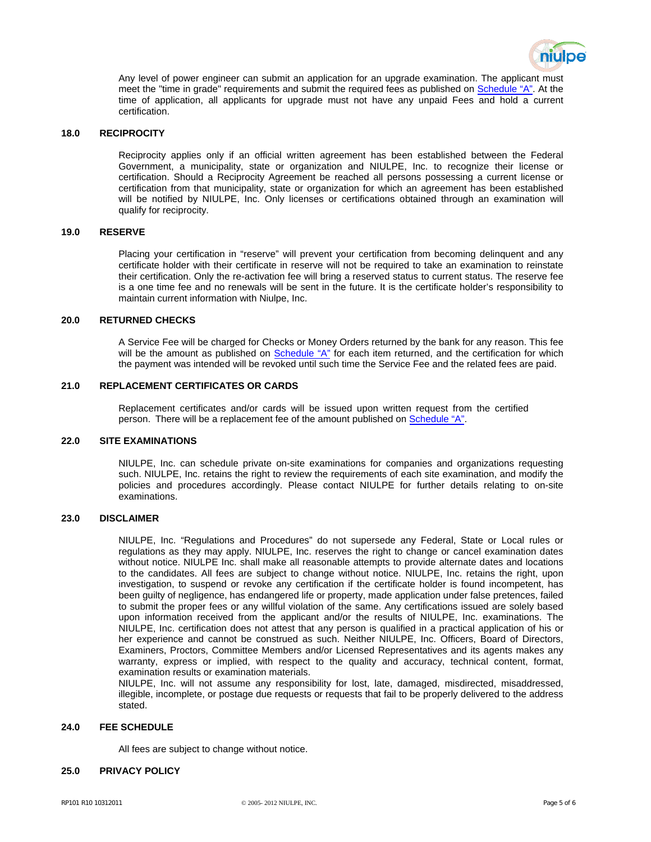

Any level of power engineer can submit an application for an upgrade examination. The applicant must meet the "time in grade" requirements and submit the required fees as published on [Schedule "A"](#page-12-0). At the time of application, all applicants for upgrade must not have any unpaid Fees and hold a current certification.

#### **18.0 RECIPROCITY**

Reciprocity applies only if an official written agreement has been established between the Federal Government, a municipality, state or organization and NIULPE, Inc. to recognize their license or certification. Should a Reciprocity Agreement be reached all persons possessing a current license or certification from that municipality, state or organization for which an agreement has been established will be notified by NIULPE, Inc. Only licenses or certifications obtained through an examination will qualify for reciprocity.

#### **19.0 RESERVE**

Placing your certification in "reserve" will prevent your certification from becoming delinquent and any certificate holder with their certificate in reserve will not be required to take an examination to reinstate their certification. Only the re-activation fee will bring a reserved status to current status. The reserve fee is a one time fee and no renewals will be sent in the future. It is the certificate holder's responsibility to maintain current information with Niulpe, Inc.

#### **20.0 RETURNED CHECKS**

A Service Fee will be charged for Checks or Money Orders returned by the bank for any reason. This fee will be the amount as published o[n Schedule "A"](#page-12-0) for each item returned, and the certification for which the payment was intended will be revoked until such time the Service Fee and the related fees are paid.

#### **21.0 REPLACEMENT CERTIFICATES OR CARDS**

Replacement certificates and/or cards will be issued upon written request from the certified person. There will be a replacement fee of the amount published on [Schedule "A".](#page-12-0)

#### **22.0 SITE EXAMINATIONS**

NIULPE, Inc. can schedule private on-site examinations for companies and organizations requesting such. NIULPE, Inc. retains the right to review the requirements of each site examination, and modify the policies and procedures accordingly. Please contact NIULPE for further details relating to on-site examinations.

#### **23.0 DISCLAIMER**

NIULPE, Inc. "Regulations and Procedures" do not supersede any Federal, State or Local rules or regulations as they may apply. NIULPE, Inc. reserves the right to change or cancel examination dates without notice. NIULPE Inc. shall make all reasonable attempts to provide alternate dates and locations to the candidates. All fees are subject to change without notice. NIULPE, Inc. retains the right, upon investigation, to suspend or revoke any certification if the certificate holder is found incompetent, has been guilty of negligence, has endangered life or property, made application under false pretences, failed to submit the proper fees or any willful violation of the same. Any certifications issued are solely based upon information received from the applicant and/or the results of NIULPE, Inc. examinations. The NIULPE, Inc. certification does not attest that any person is qualified in a practical application of his or her experience and cannot be construed as such. Neither NIULPE, Inc. Officers, Board of Directors, Examiners, Proctors, Committee Members and/or Licensed Representatives and its agents makes any warranty, express or implied, with respect to the quality and accuracy, technical content, format, examination results or examination materials.

NIULPE, Inc. will not assume any responsibility for lost, late, damaged, misdirected, misaddressed, illegible, incomplete, or postage due requests or requests that fail to be properly delivered to the address stated.

#### **24.0 FEE SCHEDULE**

All fees are subject to change without notice.

#### **25.0 PRIVACY POLICY**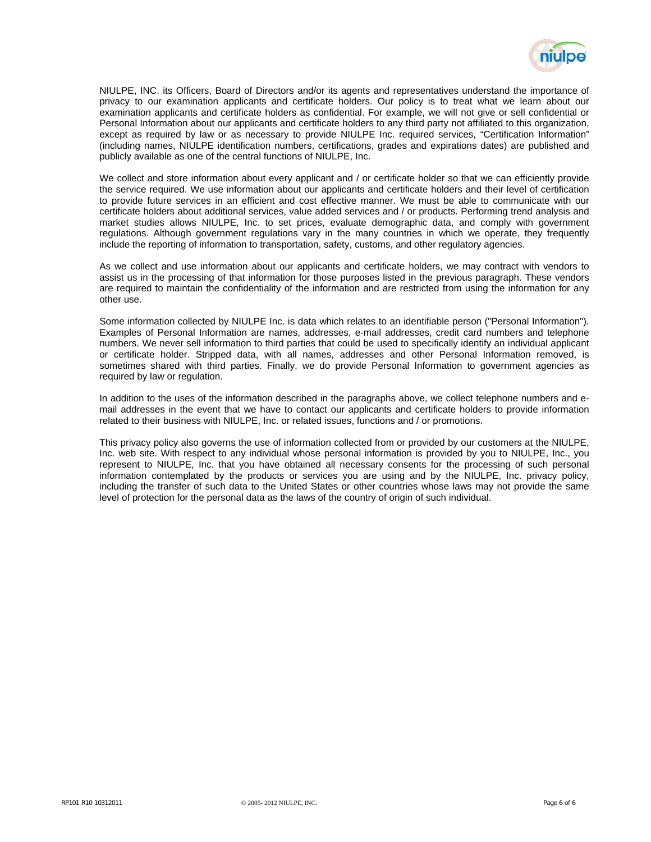

NIULPE, INC. its Officers, Board of Directors and/or its agents and representatives understand the importance of privacy to our examination applicants and certificate holders. Our policy is to treat what we learn about our examination applicants and certificate holders as confidential. For example, we will not give or sell confidential or Personal Information about our applicants and certificate holders to any third party not affiliated to this organization, except as required by law or as necessary to provide NIULPE Inc. required services, "Certification Information" (including names, NIULPE identification numbers, certifications, grades and expirations dates) are published and publicly available as one of the central functions of NIULPE, Inc.

We collect and store information about every applicant and / or certificate holder so that we can efficiently provide the service required. We use information about our applicants and certificate holders and their level of certification to provide future services in an efficient and cost effective manner. We must be able to communicate with our certificate holders about additional services, value added services and / or products. Performing trend analysis and market studies allows NIULPE, Inc. to set prices, evaluate demographic data, and comply with government regulations. Although government regulations vary in the many countries in which we operate, they frequently include the reporting of information to transportation, safety, customs, and other regulatory agencies.

As we collect and use information about our applicants and certificate holders, we may contract with vendors to assist us in the processing of that information for those purposes listed in the previous paragraph. These vendors are required to maintain the confidentiality of the information and are restricted from using the information for any other use.

Some information collected by NIULPE Inc. is data which relates to an identifiable person ("Personal Information"). Examples of Personal Information are names, addresses, e-mail addresses, credit card numbers and telephone numbers. We never sell information to third parties that could be used to specifically identify an individual applicant or certificate holder. Stripped data, with all names, addresses and other Personal Information removed, is sometimes shared with third parties. Finally, we do provide Personal Information to government agencies as required by law or regulation.

In addition to the uses of the information described in the paragraphs above, we collect telephone numbers and email addresses in the event that we have to contact our applicants and certificate holders to provide information related to their business with NIULPE, Inc. or related issues, functions and / or promotions.

This privacy policy also governs the use of information collected from or provided by our customers at the NIULPE, Inc. web site. With respect to any individual whose personal information is provided by you to NIULPE, Inc., you represent to NIULPE, Inc. that you have obtained all necessary consents for the processing of such personal information contemplated by the products or services you are using and by the NIULPE, Inc. privacy policy, including the transfer of such data to the United States or other countries whose laws may not provide the same level of protection for the personal data as the laws of the country of origin of such individual.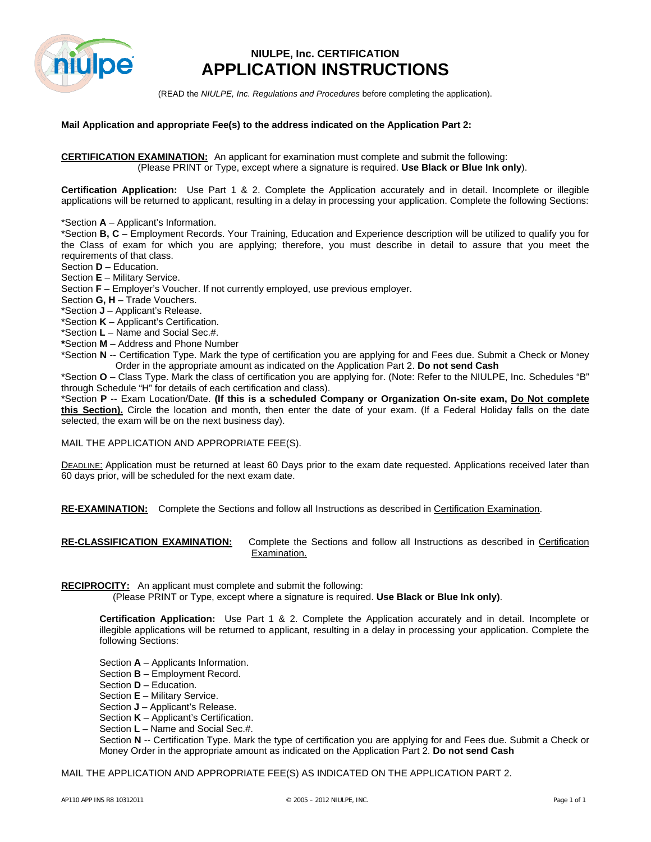

# **NIULPE, Inc. CERTIFICATION APPLICATION INSTRUCTIONS**

(READ the *NIULPE, Inc. Regulations and Procedures* before completing the application).

#### **Mail Application and appropriate Fee(s) to the address indicated on the Application Part 2:**

**CERTIFICATION EXAMINATION:** An applicant for examination must complete and submit the following: (Please PRINT or Type, except where a signature is required. **Use Black or Blue Ink only**).

**Certification Application:** Use Part 1 & 2. Complete the Application accurately and in detail. Incomplete or illegible applications will be returned to applicant, resulting in a delay in processing your application. Complete the following Sections:

\*Section **A** – Applicant's Information.

\*Section **B, C** – Employment Records. Your Training, Education and Experience description will be utilized to qualify you for the Class of exam for which you are applying; therefore, you must describe in detail to assure that you meet the requirements of that class.

Section **D** – Education.

Section **E** – Military Service.

Section **F** – Employer's Voucher. If not currently employed, use previous employer.

Section **G, H** – Trade Vouchers.

\*Section **J** – Applicant's Release.

\*Section **K** – Applicant's Certification.

\*Section **L** – Name and Social Sec.#.

**\***Section **M** – Address and Phone Number

\*Section **N** -- Certification Type. Mark the type of certification you are applying for and Fees due. Submit a Check or Money Order in the appropriate amount as indicated on the Application Part 2. **Do not send Cash**

\*Section **O** – Class Type. Mark the class of certification you are applying for. (Note: Refer to the NIULPE, Inc. Schedules "B" through Schedule "H" for details of each certification and class).

\*Section **P** -- Exam Location/Date. **(If this is a scheduled Company or Organization On-site exam, Do Not complete this Section).** Circle the location and month, then enter the date of your exam. (If a Federal Holiday falls on the date selected, the exam will be on the next business day).

MAIL THE APPLICATION AND APPROPRIATE FEE(S).

DEADLINE: Application must be returned at least 60 Days prior to the exam date requested. Applications received later than 60 days prior, will be scheduled for the next exam date.

**RE-EXAMINATION:** Complete the Sections and follow all Instructions as described in Certification Examination.

| <b>RE-CLASSIFICATION EXAMINATION:</b> | Complete the Sections and follow all Instructions as described in Certification |
|---------------------------------------|---------------------------------------------------------------------------------|
|                                       | Examination.                                                                    |

**RECIPROCITY:** An applicant must complete and submit the following:

(Please PRINT or Type, except where a signature is required. **Use Black or Blue Ink only)**.

**Certification Application:** Use Part 1 & 2. Complete the Application accurately and in detail. Incomplete or illegible applications will be returned to applicant, resulting in a delay in processing your application. Complete the following Sections:

- Section **A** Applicants Information.
- Section **B** Employment Record.
- Section **D** Education.
- Section **E** Military Service.
- Section **J** Applicant's Release.
- Section **K** Applicant's Certification.
- Section **L** Name and Social Sec.#.

Section **N** -- Certification Type. Mark the type of certification you are applying for and Fees due. Submit a Check or Money Order in the appropriate amount as indicated on the Application Part 2. **Do not send Cash**

MAIL THE APPLICATION AND APPROPRIATE FEE(S) AS INDICATED ON THE APPLICATION PART 2.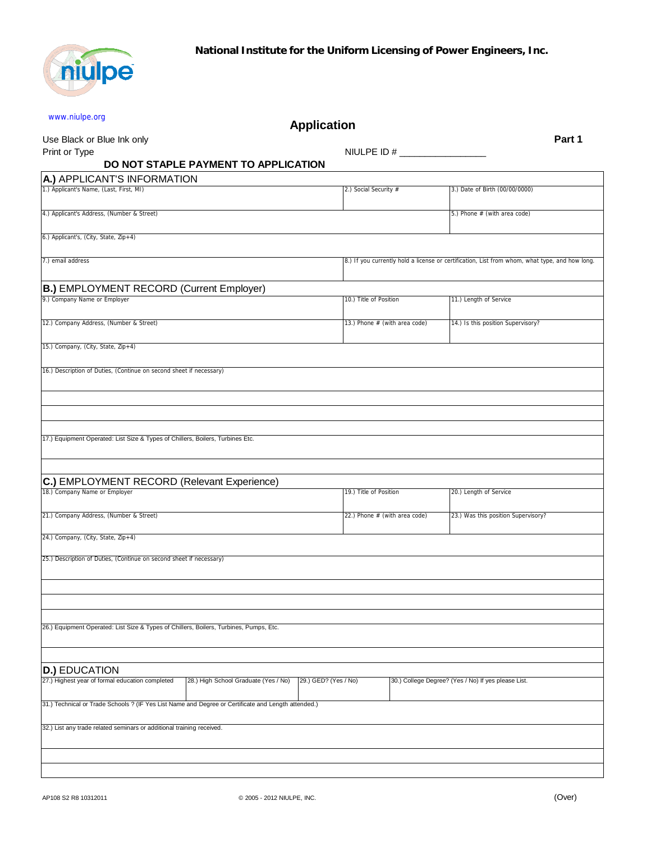

| www.niulpe.org                                                                                      |                                      | <b>Application</b>            |  |                                                                                                |        |
|-----------------------------------------------------------------------------------------------------|--------------------------------------|-------------------------------|--|------------------------------------------------------------------------------------------------|--------|
| Use Black or Blue Ink only                                                                          |                                      |                               |  |                                                                                                | Part 1 |
| Print or Type                                                                                       |                                      |                               |  |                                                                                                |        |
|                                                                                                     | DO NOT STAPLE PAYMENT TO APPLICATION |                               |  |                                                                                                |        |
| A.) APPLICANT'S INFORMATION<br>1.) Applicant's Name, (Last, First, MI)                              |                                      | 2.) Social Security #         |  |                                                                                                |        |
|                                                                                                     |                                      |                               |  | 3.) Date of Birth (00/00/0000)                                                                 |        |
| 4.) Applicant's Address, (Number & Street)                                                          |                                      |                               |  | 5.) Phone # (with area code)                                                                   |        |
| 6.) Applicant's, (City, State, Zip+4)                                                               |                                      |                               |  |                                                                                                |        |
| 7.) email address                                                                                   |                                      |                               |  | 8.) If you currently hold a license or certification, List from whom, what type, and how long. |        |
| <b>B.) EMPLOYMENT RECORD (Current Employer)</b>                                                     |                                      |                               |  |                                                                                                |        |
| 9.) Company Name or Employer                                                                        |                                      | 10.) Title of Position        |  | 11.) Length of Service                                                                         |        |
| 12.) Company Address, (Number & Street)                                                             |                                      | 13.) Phone # (with area code) |  | 14.) Is this position Supervisory?                                                             |        |
| 15.) Company, (City, State, Zip+4)                                                                  |                                      |                               |  |                                                                                                |        |
|                                                                                                     |                                      |                               |  |                                                                                                |        |
| 16.) Description of Duties, (Continue on second sheet if necessary)                                 |                                      |                               |  |                                                                                                |        |
| C.) EMPLOYMENT RECORD (Relevant Experience)<br>18.) Company Name or Employer                        |                                      |                               |  |                                                                                                |        |
|                                                                                                     |                                      | 19.) Title of Position        |  | 20.) Length of Service                                                                         |        |
| 21.) Company Address, (Number & Street)                                                             |                                      | 22.) Phone # (with area code) |  | 23.) Was this position Supervisory?                                                            |        |
| 24.) Company, (City, State, Zip+4)                                                                  |                                      |                               |  |                                                                                                |        |
| 25.) Description of Duties, (Continue on second sheet if necessary)                                 |                                      |                               |  |                                                                                                |        |
|                                                                                                     |                                      |                               |  |                                                                                                |        |
|                                                                                                     |                                      |                               |  |                                                                                                |        |
| 26.) Equipment Operated: List Size & Types of Chillers, Boilers, Turbines, Pumps, Etc.              |                                      |                               |  |                                                                                                |        |
|                                                                                                     |                                      |                               |  |                                                                                                |        |
|                                                                                                     |                                      |                               |  |                                                                                                |        |
| <b>D.) EDUCATION</b><br>27.) Highest year of formal education completed                             | 28.) High School Graduate (Yes / No) | 29.) GED? (Yes / No)          |  | 30.) College Degree? (Yes / No) If yes please List.                                            |        |
| 31.) Technical or Trade Schools ? (IF Yes List Name and Degree or Certificate and Length attended.) |                                      |                               |  |                                                                                                |        |
|                                                                                                     |                                      |                               |  |                                                                                                |        |
| 32.) List any trade related seminars or additional training received.                               |                                      |                               |  |                                                                                                |        |
|                                                                                                     |                                      |                               |  |                                                                                                |        |
|                                                                                                     |                                      |                               |  |                                                                                                |        |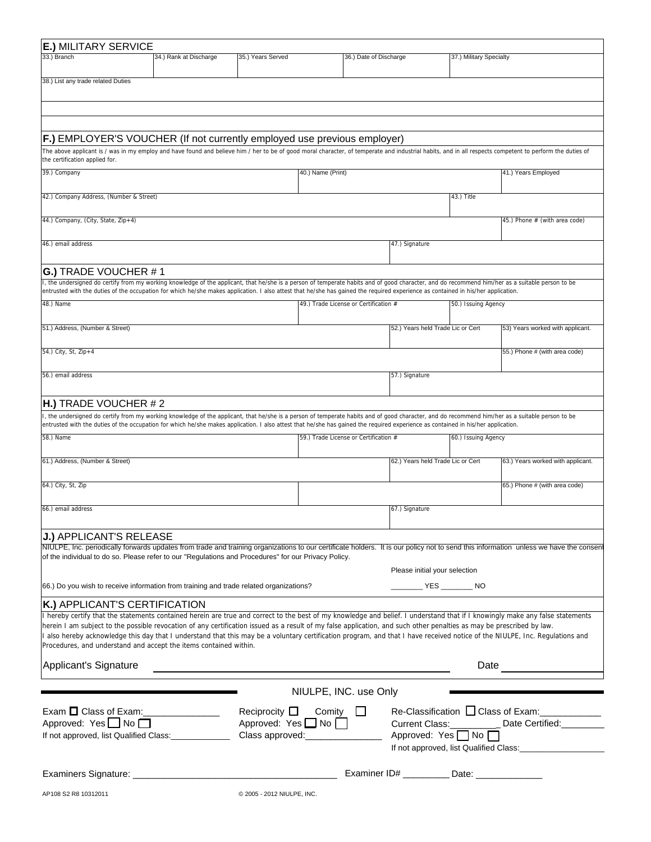| <b>E.) MILITARY SERVICE</b>                                                                                                                                                                                                                                                                                                                                                           |                                |                                       |                                               |                         |                                                |
|---------------------------------------------------------------------------------------------------------------------------------------------------------------------------------------------------------------------------------------------------------------------------------------------------------------------------------------------------------------------------------------|--------------------------------|---------------------------------------|-----------------------------------------------|-------------------------|------------------------------------------------|
| 33.) Branch<br>34.) Rank at Discharge                                                                                                                                                                                                                                                                                                                                                 | 35.) Years Served              | 36.) Date of Discharge                |                                               | 37.) Military Specialty |                                                |
| 38.) List any trade related Duties                                                                                                                                                                                                                                                                                                                                                    |                                |                                       |                                               |                         |                                                |
|                                                                                                                                                                                                                                                                                                                                                                                       |                                |                                       |                                               |                         |                                                |
|                                                                                                                                                                                                                                                                                                                                                                                       |                                |                                       |                                               |                         |                                                |
|                                                                                                                                                                                                                                                                                                                                                                                       |                                |                                       |                                               |                         |                                                |
| F.) EMPLOYER'S VOUCHER (If not currently employed use previous employer)                                                                                                                                                                                                                                                                                                              |                                |                                       |                                               |                         |                                                |
| The above applicant is / was in my employ and have found and believe him / her to be of good moral character, of temperate and industrial habits, and in all respects competent to perform the duties of<br>the certification applied for.                                                                                                                                            |                                |                                       |                                               |                         |                                                |
| 39.) Company                                                                                                                                                                                                                                                                                                                                                                          |                                | 40.) Name (Print)                     |                                               |                         | 41.) Years Employed                            |
|                                                                                                                                                                                                                                                                                                                                                                                       |                                |                                       |                                               |                         |                                                |
| 42.) Company Address, (Number & Street)                                                                                                                                                                                                                                                                                                                                               |                                |                                       |                                               | 43.) Title              |                                                |
| 44.) Company, (City, State, Zip+4)                                                                                                                                                                                                                                                                                                                                                    |                                |                                       |                                               |                         | 45.) Phone # (with area code)                  |
|                                                                                                                                                                                                                                                                                                                                                                                       |                                |                                       |                                               |                         |                                                |
| 46.) email address                                                                                                                                                                                                                                                                                                                                                                    |                                |                                       | 47.) Signature                                |                         |                                                |
|                                                                                                                                                                                                                                                                                                                                                                                       |                                |                                       |                                               |                         |                                                |
| G.) TRADE VOUCHER #1                                                                                                                                                                                                                                                                                                                                                                  |                                |                                       |                                               |                         |                                                |
| I, the undersigned do certify from my working knowledge of the applicant, that he/she is a person of temperate habits and of good character, and do recommend him/her as a suitable person to be<br>entrusted with the duties of the occupation for which he/she makes application. I also attest that he/she has gained the required experience as contained in his/her application. |                                |                                       |                                               |                         |                                                |
| 48.) Name                                                                                                                                                                                                                                                                                                                                                                             |                                | 49.) Trade License or Certification # |                                               | 50.) Issuing Agency     |                                                |
|                                                                                                                                                                                                                                                                                                                                                                                       |                                |                                       |                                               |                         |                                                |
| 51.) Address, (Number & Street)                                                                                                                                                                                                                                                                                                                                                       |                                |                                       | 52.) Years held Trade Lic or Cert             |                         | 53) Years worked with applicant.               |
| 54.) City, St, Zip+4                                                                                                                                                                                                                                                                                                                                                                  |                                |                                       |                                               |                         | 55.) Phone # (with area code)                  |
|                                                                                                                                                                                                                                                                                                                                                                                       |                                |                                       |                                               |                         |                                                |
| 56.) email address                                                                                                                                                                                                                                                                                                                                                                    |                                |                                       | 57.) Signature                                |                         |                                                |
|                                                                                                                                                                                                                                                                                                                                                                                       |                                |                                       |                                               |                         |                                                |
| <b>H.)</b> TRADE VOUCHER $# 2$<br>I, the undersigned do certify from my working knowledge of the applicant, that he/she is a person of temperate habits and of good character, and do recommend him/her as a suitable person to be                                                                                                                                                    |                                |                                       |                                               |                         |                                                |
| entrusted with the duties of the occupation for which he/she makes application. I also attest that he/she has gained the required experience as contained in his/her application.                                                                                                                                                                                                     |                                |                                       |                                               |                         |                                                |
| 58.) Name                                                                                                                                                                                                                                                                                                                                                                             |                                | 59.) Trade License or Certification # |                                               | 60.) Issuing Agency     |                                                |
| 61.) Address, (Number & Street)                                                                                                                                                                                                                                                                                                                                                       |                                |                                       | 62.) Years held Trade Lic or Cert             |                         | 63.) Years worked with applicant.              |
|                                                                                                                                                                                                                                                                                                                                                                                       |                                |                                       |                                               |                         |                                                |
| 64.) City, St, Zip                                                                                                                                                                                                                                                                                                                                                                    |                                |                                       |                                               |                         | 65.) Phone # (with area code)                  |
| 66.) email address                                                                                                                                                                                                                                                                                                                                                                    |                                |                                       | 67.) Signature                                |                         |                                                |
|                                                                                                                                                                                                                                                                                                                                                                                       |                                |                                       |                                               |                         |                                                |
| <b>J.) APPLICANT'S RELEASE</b>                                                                                                                                                                                                                                                                                                                                                        |                                |                                       |                                               |                         |                                                |
| NIULPE, Inc. periodically forwards updates from trade and training organizations to our certificate holders. It is our policy not to send this information unless we have the consent<br>of the individual to do so. Please refer to our "Regulations and Procedures" for our Privacy Policy.                                                                                         |                                |                                       |                                               |                         |                                                |
|                                                                                                                                                                                                                                                                                                                                                                                       |                                |                                       | Please initial your selection                 |                         |                                                |
| 66.) Do you wish to receive information from training and trade related organizations?                                                                                                                                                                                                                                                                                                |                                |                                       |                                               |                         |                                                |
|                                                                                                                                                                                                                                                                                                                                                                                       |                                |                                       |                                               |                         |                                                |
| K.) APPLICANT'S CERTIFICATION<br>I hereby certify that the statements contained herein are true and correct to the best of my knowledge and belief. I understand that if I knowingly make any false statements                                                                                                                                                                        |                                |                                       |                                               |                         |                                                |
| herein I am subject to the possible revocation of any certification issued as a result of my false application, and such other penalties as may be prescribed by law.                                                                                                                                                                                                                 |                                |                                       |                                               |                         |                                                |
| l also hereby acknowledge this day that I understand that this may be a voluntary certification program, and that I have received notice of the NIULPE, Inc. Regulations and<br>Procedures, and understand and accept the items contained within.                                                                                                                                     |                                |                                       |                                               |                         |                                                |
|                                                                                                                                                                                                                                                                                                                                                                                       |                                |                                       |                                               |                         |                                                |
| Applicant's Signature                                                                                                                                                                                                                                                                                                                                                                 |                                |                                       |                                               |                         | Date                                           |
|                                                                                                                                                                                                                                                                                                                                                                                       |                                |                                       |                                               |                         |                                                |
|                                                                                                                                                                                                                                                                                                                                                                                       |                                | NIULPE, INC. use Only                 |                                               |                         |                                                |
|                                                                                                                                                                                                                                                                                                                                                                                       |                                | Reciprocity $\Box$ Comity $\Box$      |                                               |                         | Re-Classification □ Class of Exam: ___________ |
| Approved: Yes $\Box$ No $\Box$<br>If not approved, list Qualified Class: Chass approved: Class approved:                                                                                                                                                                                                                                                                              | Approved: Yes $\Box$ No $\Box$ |                                       | Approved: Yes $\Box$ No $\Box$                |                         | Date Certified:                                |
|                                                                                                                                                                                                                                                                                                                                                                                       |                                |                                       |                                               |                         |                                                |
|                                                                                                                                                                                                                                                                                                                                                                                       |                                |                                       |                                               |                         |                                                |
|                                                                                                                                                                                                                                                                                                                                                                                       |                                |                                       | Examiner ID# ___________Date: _______________ |                         |                                                |
| AP108 S2 R8 10312011                                                                                                                                                                                                                                                                                                                                                                  | @ 2005 - 2012 NIULPE, INC.     |                                       |                                               |                         |                                                |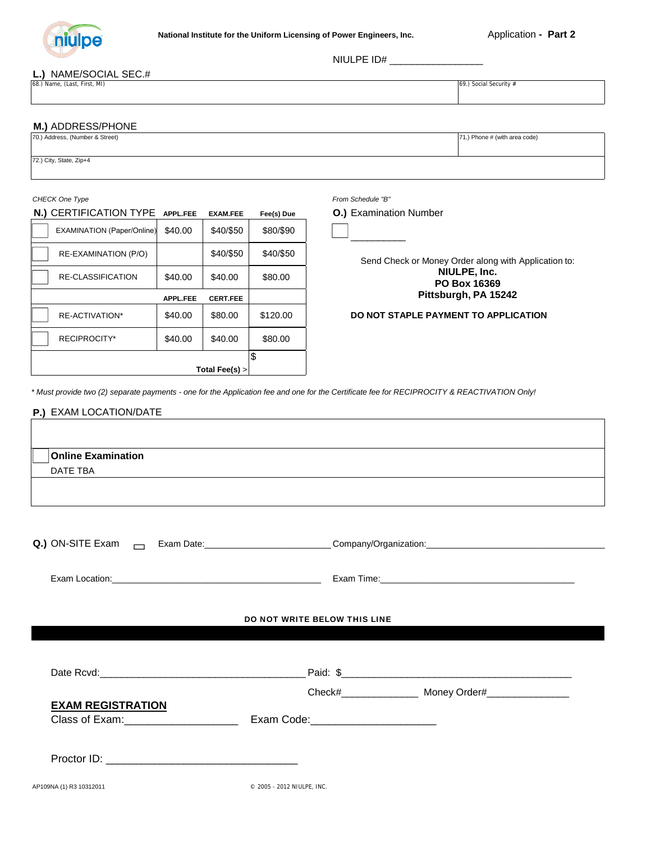

NIULPE ID# \_\_\_\_\_\_\_\_\_\_\_\_\_\_\_\_\_

#### **L.)** NAME/SOCIAL SEC.#

68.) Name, (Last, First, MI) 69.) Social Security  $\#$ 

#### **M.)** ADDRESS/PHONE

| 70.) Address, (Number & Street) | 71.) Phone # (with area code) |
|---------------------------------|-------------------------------|
|                                 |                               |
| 72.) City, State, Zip+4         |                               |
|                                 |                               |

#### **N.)** CERTIFICATION TYPE **APPL.FEE EXAM.FEE Fee(s) Due O.)** Examination Number

| Total Fee(s) $>$                  |                 |                 |           |  |  |
|-----------------------------------|-----------------|-----------------|-----------|--|--|
|                                   |                 |                 | \$        |  |  |
| <b>RECIPROCITY*</b>               | \$40.00         | \$40.00         | \$80.00   |  |  |
| RE-ACTIVATION*                    | \$40.00         | \$80.00         | \$120.00  |  |  |
|                                   | <b>APPL.FEE</b> | <b>CERT.FEE</b> |           |  |  |
| <b>RE-CLASSIFICATION</b>          | \$40.00         | \$40.00         | \$80.00   |  |  |
| RE-EXAMINATION (P/O)              |                 | \$40/\$50       | \$40/\$50 |  |  |
| <b>EXAMINATION (Paper/Online)</b> | \$40.00         | \$40/\$50       | \$80/\$90 |  |  |

*CHECK One Type From Schedule "B"* 

\_\_\_\_\_\_\_\_\_\_

Send Check or Money Order along with Application to: **NIULPE, Inc. PO Box 16369 Pittsburgh, PA 15242**

#### **DO NOT STAPLE PAYMENT TO APPLICATION**

*\* Must provide two (2) separate payments - one for the Application fee and one for the Certificate fee for RECIPROCITY & REACTIVATION Only!*

#### **P.)** EXAM LOCATION/DATE

| <b>Online Examination</b> |  |  |
|---------------------------|--|--|
| DATE TBA                  |  |  |
|                           |  |  |
|                           |  |  |
|                           |  |  |

| Q.) ON-SITE Exam |  |
|------------------|--|
|------------------|--|

**Q.)** ON-SITE Exam Exam Date:\_\_\_\_\_\_\_\_\_\_\_\_\_\_\_\_\_\_\_\_\_\_\_\_\_\_Company/Organization:\_\_\_\_\_\_\_\_\_\_\_\_\_\_\_\_\_\_\_\_\_\_\_\_\_\_\_\_\_\_\_\_\_\_\_\_

Exam Location:\_\_\_\_\_\_\_\_\_\_\_\_\_\_\_\_\_\_\_\_\_\_\_\_\_\_\_\_\_\_\_\_\_\_\_\_\_\_\_\_\_\_ Exam Time:\_\_\_\_\_\_\_\_\_\_\_\_\_\_\_\_\_\_\_\_\_\_\_\_\_\_\_\_\_\_\_\_\_\_\_\_\_\_\_

#### DO NOT WRITE BELOW THIS LINE

| Date Rcvd:                                 | Paid: \$   |              |
|--------------------------------------------|------------|--------------|
|                                            | Check#     | Money Order# |
| <b>EXAM REGISTRATION</b><br>Class of Exam: | Exam Code: |              |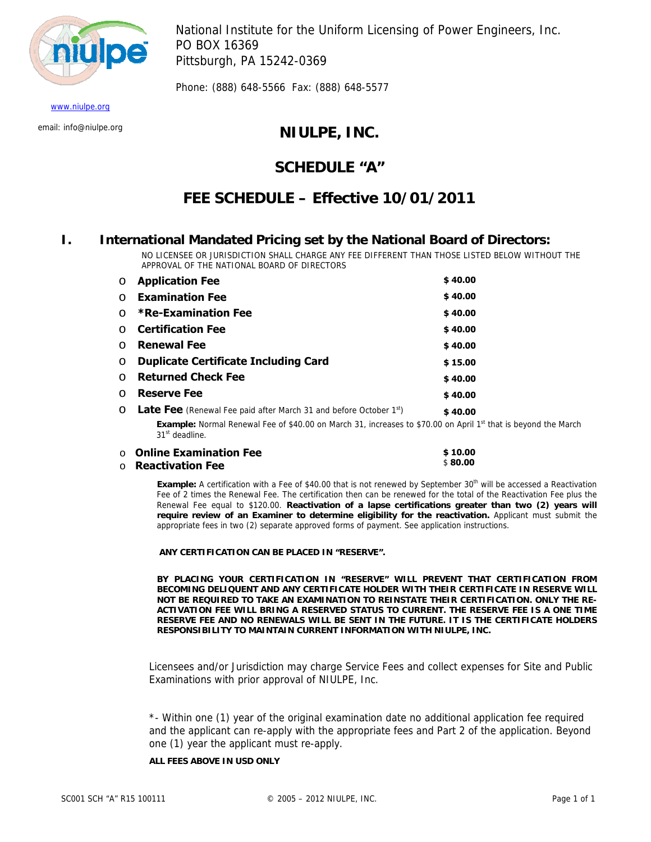<span id="page-12-0"></span>

National Institute for the Uniform Licensing of Power Engineers, Inc. PO BOX 16369 Pittsburgh, PA 15242-0369

Phone: (888) 648-5566 Fax: (888) 648-5577

www.niulpe.org

# email: info@niulpe.org **NIULPE, INC.**

# **SCHEDULE "A"**

# **FEE SCHEDULE – Effective 10/01/2011**

### **I. International Mandated Pricing set by the National Board of Directors:**

NO LICENSEE OR JURISDICTION SHALL CHARGE ANY FEE DIFFERENT THAN THOSE LISTED BELOW WITHOUT THE APPROVAL OF THE NATIONAL BOARD OF DIRECTORS

| $\circ$  | <b>Application Fee</b>                                                                                                      | \$40.00 |
|----------|-----------------------------------------------------------------------------------------------------------------------------|---------|
| $\circ$  | <b>Examination Fee</b>                                                                                                      | \$40.00 |
| $\Omega$ | <b>*Re-Examination Fee</b>                                                                                                  | \$40.00 |
|          | ○ Certification Fee                                                                                                         | \$40.00 |
| $\Omega$ | <b>Renewal Fee</b>                                                                                                          | \$40.00 |
| $\circ$  | <b>Duplicate Certificate Including Card</b>                                                                                 | \$15.00 |
| $\circ$  | <b>Returned Check Fee</b>                                                                                                   | \$40.00 |
| $\Omega$ | <b>Reserve Fee</b>                                                                                                          | \$40.00 |
|          | $\circ$ <b>Late Fee</b> (Renewal Fee paid after March 31 and before October 1 <sup>st</sup> )                               | \$40.00 |
|          | <b>Evample:</b> Normal Renewal Eee of \$40.00 on March 31, increases to \$70.00 on April 1 <sup>st</sup> that is beyond the |         |

on April 1<sup>st</sup> that is beyond the March 31<sup>st</sup> deadline.

| $\circ$ Online Examination Fee | \$10.00 |
|--------------------------------|---------|
| $\circ$ Reactivation Fee       | \$80.00 |

**Example:** A certification with a Fee of \$40.00 that is not renewed by September 30<sup>th</sup> will be accessed a Reactivation Fee of 2 times the Renewal Fee. The certification then can be renewed for the total of the Reactivation Fee plus the Renewal Fee equal to \$120.00. **Reactivation of a lapse certifications greater than two (2) years will require review of an Examiner to determine eligibility for the reactivation.** Applicant must submit the appropriate fees in two (2) separate approved forms of payment. See application instructions.

 **ANY CERTIFICATION CAN BE PLACED IN "RESERVE".** 

**BY PLACING YOUR CERTIFICATION IN "RESERVE" WILL PREVENT THAT CERTIFICATION FROM BECOMING DELIQUENT AND ANY CERTIFICATE HOLDER WITH THEIR CERTIFICATE IN RESERVE WILL NOT BE REQUIRED TO TAKE AN EXAMINATION TO REINSTATE THEIR CERTIFICATION. ONLY THE RE-ACTIVATION FEE WILL BRING A RESERVED STATUS TO CURRENT. THE RESERVE FEE IS A ONE TIME RESERVE FEE AND NO RENEWALS WILL BE SENT IN THE FUTURE. IT IS THE CERTIFICATE HOLDERS RESPONSIBILITY TO MAINTAIN CURRENT INFORMATION WITH NIULPE, INC.** 

Licensees and/or Jurisdiction may charge Service Fees and collect expenses for Site and Public Examinations with prior approval of NIULPE, Inc.

\*- Within one (1) year of the original examination date no additional application fee required and the applicant can re-apply with the appropriate fees and Part 2 of the application. Beyond one (1) year the applicant must re-apply.

#### **ALL FEES ABOVE IN USD ONLY**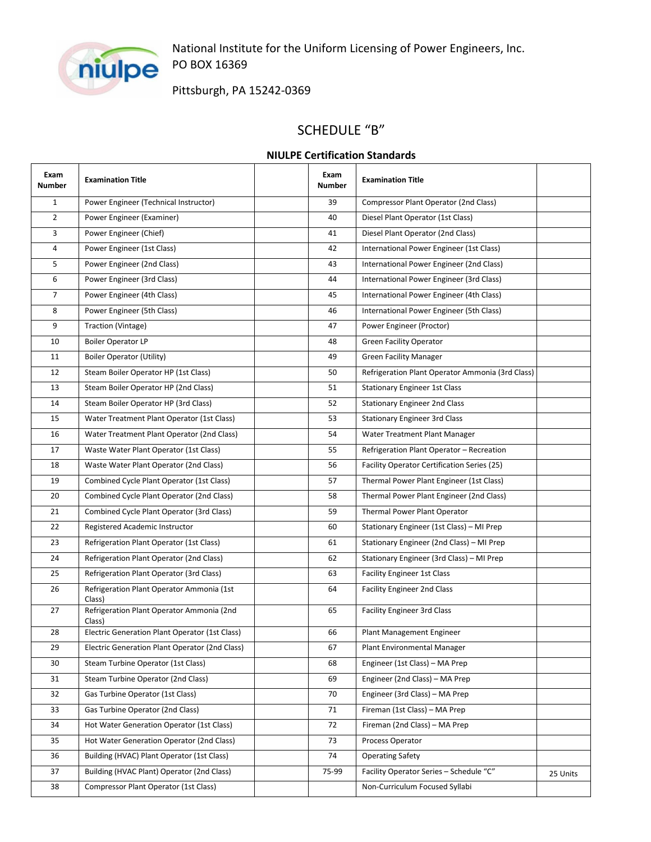<span id="page-13-0"></span>

National Institute for the Uniform Licensing of Power Engineers, Inc. PO BOX 16369

Pittsburgh, PA 15242‐0369

# SCHEDULE "B"

### **NIULPE Certification Standards**

| Exam<br><b>Number</b> | <b>Examination Title</b>                            | Exam<br>Number | <b>Examination Title</b>                           |          |
|-----------------------|-----------------------------------------------------|----------------|----------------------------------------------------|----------|
| $\mathbf{1}$          | Power Engineer (Technical Instructor)               | 39             | Compressor Plant Operator (2nd Class)              |          |
| $\overline{2}$        | Power Engineer (Examiner)                           | 40             | Diesel Plant Operator (1st Class)                  |          |
| 3                     | Power Engineer (Chief)                              | 41             | Diesel Plant Operator (2nd Class)                  |          |
| $\overline{4}$        | Power Engineer (1st Class)                          | 42             | International Power Engineer (1st Class)           |          |
| 5                     | Power Engineer (2nd Class)                          | 43             | International Power Engineer (2nd Class)           |          |
| 6                     | Power Engineer (3rd Class)                          | 44             | International Power Engineer (3rd Class)           |          |
| $\overline{7}$        | Power Engineer (4th Class)                          | 45             | International Power Engineer (4th Class)           |          |
| 8                     | Power Engineer (5th Class)                          | 46             | International Power Engineer (5th Class)           |          |
| 9                     | Traction (Vintage)                                  | 47             | Power Engineer (Proctor)                           |          |
| 10                    | <b>Boiler Operator LP</b>                           | 48             | <b>Green Facility Operator</b>                     |          |
| 11                    | <b>Boiler Operator (Utility)</b>                    | 49             | <b>Green Facility Manager</b>                      |          |
| 12                    | Steam Boiler Operator HP (1st Class)                | 50             | Refrigeration Plant Operator Ammonia (3rd Class)   |          |
| 13                    | Steam Boiler Operator HP (2nd Class)                | 51             | <b>Stationary Engineer 1st Class</b>               |          |
| 14                    | Steam Boiler Operator HP (3rd Class)                | 52             | <b>Stationary Engineer 2nd Class</b>               |          |
| 15                    | Water Treatment Plant Operator (1st Class)          | 53             | <b>Stationary Engineer 3rd Class</b>               |          |
| 16                    | Water Treatment Plant Operator (2nd Class)          | 54             | Water Treatment Plant Manager                      |          |
| 17                    | Waste Water Plant Operator (1st Class)              | 55             | Refrigeration Plant Operator - Recreation          |          |
| 18                    | Waste Water Plant Operator (2nd Class)              | 56             | <b>Facility Operator Certification Series (25)</b> |          |
| 19                    | Combined Cycle Plant Operator (1st Class)           | 57             | Thermal Power Plant Engineer (1st Class)           |          |
| 20                    | Combined Cycle Plant Operator (2nd Class)           | 58             | Thermal Power Plant Engineer (2nd Class)           |          |
| 21                    | Combined Cycle Plant Operator (3rd Class)           | 59             | Thermal Power Plant Operator                       |          |
| 22                    | Registered Academic Instructor                      | 60             | Stationary Engineer (1st Class) - MI Prep          |          |
| 23                    | Refrigeration Plant Operator (1st Class)            | 61             | Stationary Engineer (2nd Class) - MI Prep          |          |
| 24                    | Refrigeration Plant Operator (2nd Class)            | 62             | Stationary Engineer (3rd Class) - MI Prep          |          |
| 25                    | Refrigeration Plant Operator (3rd Class)            | 63             | <b>Facility Engineer 1st Class</b>                 |          |
| 26                    | Refrigeration Plant Operator Ammonia (1st<br>Class) | 64             | <b>Facility Engineer 2nd Class</b>                 |          |
| 27                    | Refrigeration Plant Operator Ammonia (2nd<br>Class) | 65             | <b>Facility Engineer 3rd Class</b>                 |          |
| 28                    | Electric Generation Plant Operator (1st Class)      | 66             | Plant Management Engineer                          |          |
| 29                    | Electric Generation Plant Operator (2nd Class)      | 67             | Plant Environmental Manager                        |          |
| 30                    | Steam Turbine Operator (1st Class)                  | 68             | Engineer (1st Class) - MA Prep                     |          |
| 31                    | Steam Turbine Operator (2nd Class)                  | 69             | Engineer (2nd Class) - MA Prep                     |          |
| 32                    | Gas Turbine Operator (1st Class)                    | 70             | Engineer (3rd Class) - MA Prep                     |          |
| 33                    | Gas Turbine Operator (2nd Class)                    | 71             | Fireman (1st Class) - MA Prep                      |          |
| 34                    | Hot Water Generation Operator (1st Class)           | 72             | Fireman (2nd Class) - MA Prep                      |          |
| 35                    | Hot Water Generation Operator (2nd Class)           | 73             | Process Operator                                   |          |
| 36                    | Building (HVAC) Plant Operator (1st Class)          | 74             | <b>Operating Safety</b>                            |          |
| 37                    | Building (HVAC Plant) Operator (2nd Class)          | 75-99          | Facility Operator Series - Schedule "C"            | 25 Units |
| 38                    | Compressor Plant Operator (1st Class)               |                | Non-Curriculum Focused Syllabi                     |          |